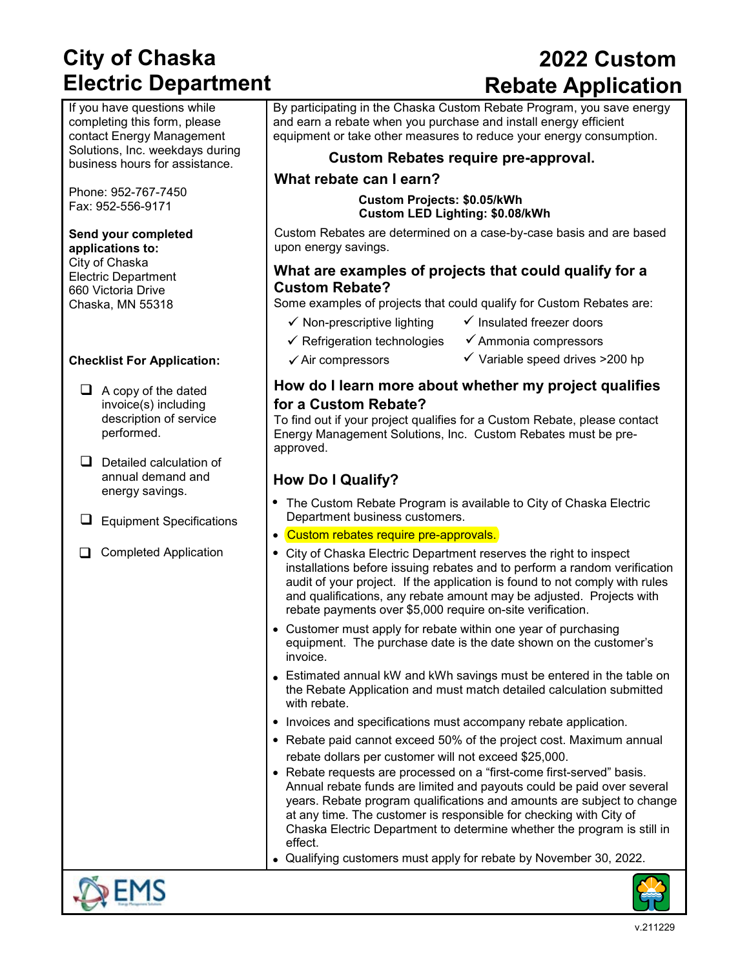# **City of Chaska Electric Department**

If you have questions while completing this form, please contact Energy Management Solutions, Inc. weekdays during business hours for assistance.

Phone: 952-767-7450 Fax: 952-556-9171

### **Send your completed**

**applications to:** City of Chaska Electric Department 660 Victoria Drive Chaska, MN 55318

#### **Checklist For Application:**

- $\Box$  A copy of the dated invoice(s) including description of service performed.
- $\Box$  Detailed calculation of annual demand and energy savings.
- $\Box$  Equipment Specifications
- Completed Application

# **2022 Custom Rebate Application**

By participating in the Chaska Custom Rebate Program, you save energy and earn a rebate when you purchase and install energy efficient equipment or take other measures to reduce your energy consumption.

#### **Custom Rebates require pre-approval.**

#### **What rebate can I earn?**

**Custom Projects: \$0.05/kWh Custom LED Lighting: \$0.08/kWh**

Custom Rebates are determined on a case-by-case basis and are based upon energy savings.

#### **What are examples of projects that could qualify for a Custom Rebate?**

Some examples of projects that could qualify for Custom Rebates are:

- $\checkmark$  Non-prescriptive lighting  $\checkmark$  Insulated freezer doors
	-
- $\checkmark$  Refrigeration technologies  $\checkmark$  Ammonia compressors
	-
	-
- $\checkmark$  Air compressors  $\checkmark$  Variable speed drives >200 hp

#### **How do I learn more about whether my project qualifies for a Custom Rebate?**

To find out if your project qualifies for a Custom Rebate, please contact Energy Management Solutions, Inc. Custom Rebates must be preapproved.

### **How Do I Qualify?**

- The Custom Rebate Program is available to City of Chaska Electric Department business customers.
- Custom rebates require pre-approvals.
- City of Chaska Electric Department reserves the right to inspect installations before issuing rebates and to perform a random verification audit of your project. If the application is found to not comply with rules and qualifications, any rebate amount may be adjusted. Projects with rebate payments over \$5,000 require on-site verification.
- Customer must apply for rebate within one year of purchasing equipment. The purchase date is the date shown on the customer's invoice.
- Estimated annual kW and kWh savings must be entered in the table on the Rebate Application and must match detailed calculation submitted with rebate.
- Invoices and specifications must accompany rebate application.
- Rebate paid cannot exceed 50% of the project cost. Maximum annual rebate dollars per customer will not exceed \$25,000.
- Rebate requests are processed on a "first-come first-served" basis. Annual rebate funds are limited and payouts could be paid over several years. Rebate program qualifications and amounts are subject to change at any time. The customer is responsible for checking with City of Chaska Electric Department to determine whether the program is still in effect.
- Qualifying customers must apply for rebate by November 30, 2022.